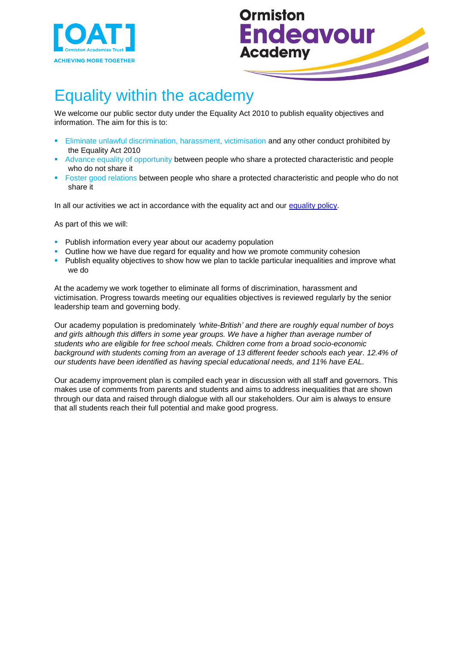



# Equality within the academy

We welcome our public sector duty under the Equality Act 2010 to publish equality objectives and information. The aim for this is to:

- **Eliminate unlawful discrimination, harassment, victimisation and any other conduct prohibited by** the Equality Act 2010
- Advance equality of opportunity between people who share a protected characteristic and people who do not share it
- Foster good relations between people who share a protected characteristic and people who do not share it

In all our activities we act in accordance with the equality act and our [equality policy.](https://ormistonendeavouracademy.co.uk/admin/wp-content/uploads/sites/8/2020/09/OEA-Equality-and-Diversity-Policy.pdf)

As part of this we will:

- **Publish information every year about our academy population**
- **Dutline how we have due regard for equality and how we promote community cohesion**
- Publish equality objectives to show how we plan to tackle particular inequalities and improve what we do

At the academy we work together to eliminate all forms of discrimination, harassment and victimisation. Progress towards meeting our equalities objectives is reviewed regularly by the senior leadership team and governing body.

Our academy population is predominately *'white-British' and there are roughly equal number of boys and girls although this differs in some year groups. We have a higher than average number of students who are eligible for free school meals. Children come from a broad socio-economic background with students coming from an average of 13 different feeder schools each year. 12.4% of our students have been identified as having special educational needs, and 11% have EAL.*

Our academy improvement plan is compiled each year in discussion with all staff and governors. This makes use of comments from parents and students and aims to address inequalities that are shown through our data and raised through dialogue with all our stakeholders. Our aim is always to ensure that all students reach their full potential and make good progress.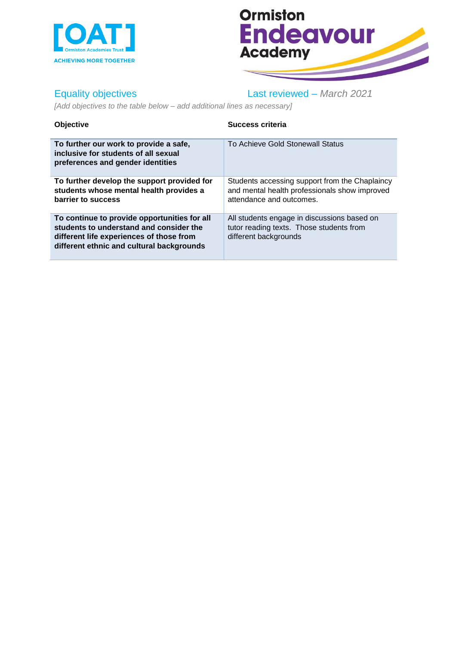



## Equality objectives Last reviewed – *March 2021*

*[Add objectives to the table below – add additional lines as necessary]*

| <b>Objective</b>                                                                                                                                                                 | <b>Success criteria</b>                                                                                                     |
|----------------------------------------------------------------------------------------------------------------------------------------------------------------------------------|-----------------------------------------------------------------------------------------------------------------------------|
| To further our work to provide a safe,<br>inclusive for students of all sexual<br>preferences and gender identities                                                              | To Achieve Gold Stonewall Status                                                                                            |
| To further develop the support provided for<br>students whose mental health provides a<br>barrier to success                                                                     | Students accessing support from the Chaplaincy<br>and mental health professionals show improved<br>attendance and outcomes. |
| To continue to provide opportunities for all<br>students to understand and consider the<br>different life experiences of those from<br>different ethnic and cultural backgrounds | All students engage in discussions based on<br>tutor reading texts. Those students from<br>different backgrounds            |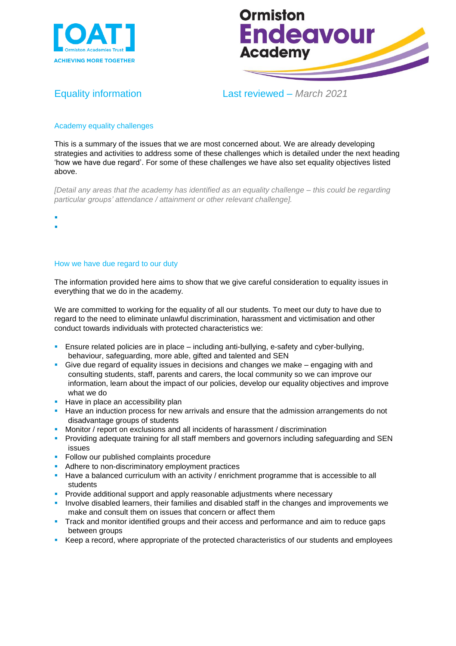



Equality information Last reviewed – *March 2021*

### Academy equality challenges

This is a summary of the issues that we are most concerned about. We are already developing strategies and activities to address some of these challenges which is detailed under the next heading 'how we have due regard'. For some of these challenges we have also set equality objectives listed above.

*[Detail any areas that the academy has identified as an equality challenge – this could be regarding particular groups' attendance / attainment or other relevant challenge].*

- ľ
- F

#### How we have due regard to our duty

The information provided here aims to show that we give careful consideration to equality issues in everything that we do in the academy.

We are committed to working for the equality of all our students. To meet our duty to have due to regard to the need to eliminate unlawful discrimination, harassment and victimisation and other conduct towards individuals with protected characteristics we:

- Ensure related policies are in place including anti-bullying, e-safety and cyber-bullying, behaviour, safeguarding, more able, gifted and talented and SEN
- Give due regard of equality issues in decisions and changes we make engaging with and consulting students, staff, parents and carers, the local community so we can improve our information, learn about the impact of our policies, develop our equality objectives and improve what we do
- $\blacksquare$  Have in place an accessibility plan
- **Have an induction process for new arrivals and ensure that the admission arrangements do not** disadvantage groups of students
- Monitor / report on exclusions and all incidents of harassment / discrimination
- **Providing adequate training for all staff members and governors including safeguarding and SEN** issues
- **Follow our published complaints procedure**
- Adhere to non-discriminatory employment practices
- Have a balanced curriculum with an activity / enrichment programme that is accessible to all students
- **Provide additional support and apply reasonable adjustments where necessary**
- Involve disabled learners, their families and disabled staff in the changes and improvements we make and consult them on issues that concern or affect them
- Track and monitor identified groups and their access and performance and aim to reduce gaps between groups
- Keep a record, where appropriate of the protected characteristics of our students and employees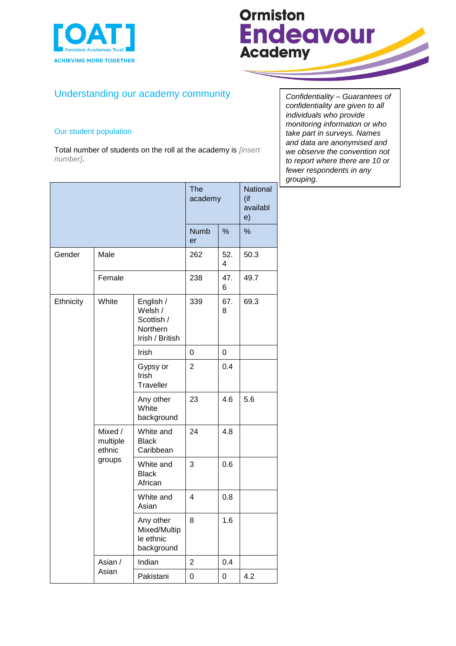

# **Ormiston Endeavour**

## Understanding our academy community

### Our student population

Total number of students on the roll at the academy is *[insert number]*.

*Confidentiality – Guarantees of confidentiality are given to all individuals who provide monitoring information or who take part in surveys. Names and data are anonymised and we observe the convention not to report where there are 10 or fewer respondents in any grouping.*

|           |                                         | The<br>academy                                                    |                   | National<br>(if<br>availabl<br>e) |      |
|-----------|-----------------------------------------|-------------------------------------------------------------------|-------------------|-----------------------------------|------|
|           |                                         |                                                                   | <b>Numb</b><br>er | %                                 | %    |
| Gender    | Male                                    |                                                                   | 262               | 52.<br>$\overline{4}$             | 50.3 |
|           | Female                                  |                                                                   | 238               | 47.<br>6                          | 49.7 |
| Ethnicity | White                                   | English /<br>Welsh /<br>Scottish /<br>Northern<br>Irish / British | 339               | 67.<br>8                          | 69.3 |
|           |                                         | Irish                                                             | 0                 | 0                                 |      |
|           |                                         | Gypsy or<br>Irish<br>Traveller                                    | $\overline{2}$    | 0.4                               |      |
|           |                                         | Any other<br>White<br>background                                  | 23                | 4.6                               | 5.6  |
|           | Mixed /<br>multiple<br>ethnic<br>groups | White and<br><b>Black</b><br>Caribbean                            | 24                | 4.8                               |      |
|           |                                         | White and<br><b>Black</b><br>African                              | 3                 | 0.6                               |      |
|           |                                         | White and<br>Asian                                                | $\overline{4}$    | 0.8                               |      |
|           |                                         | Any other<br>Mixed/Multip<br>le ethnic<br>background              | 8                 | 1.6                               |      |
|           | Asian /<br>Asian                        | Indian                                                            | $\overline{2}$    | 0.4                               |      |
|           |                                         | Pakistani                                                         | 0                 | 0                                 | 4.2  |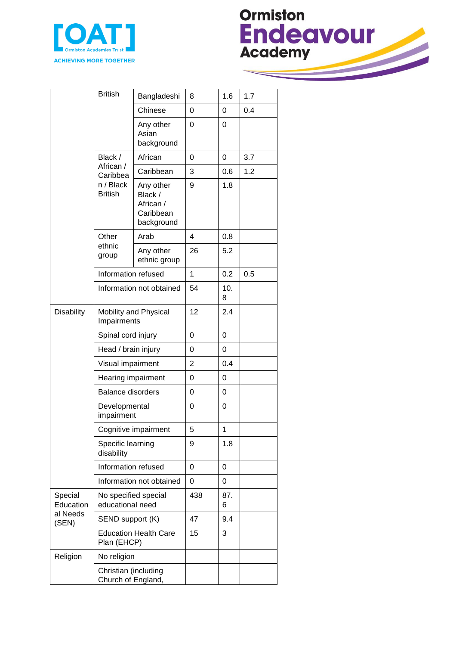



|                                           | <b>British</b>                                                  | Bangladeshi                                                  | 8           | 1.6      | 1.7 |
|-------------------------------------------|-----------------------------------------------------------------|--------------------------------------------------------------|-------------|----------|-----|
|                                           |                                                                 | Chinese                                                      | 0           | 0        | 0.4 |
|                                           |                                                                 | Any other<br>Asian<br>background                             | 0           | 0        |     |
|                                           | Black /<br>African /<br>Caribbea<br>n / Black<br><b>British</b> | African                                                      | 0           | 0        | 3.7 |
|                                           |                                                                 | Caribbean                                                    | 3           | 0.6      | 1.2 |
|                                           |                                                                 | Any other<br>Black /<br>African /<br>Caribbean<br>background | 9           | 1.8      |     |
|                                           | Other<br>ethnic<br>group                                        | Arab                                                         | 4           | 0.8      |     |
|                                           |                                                                 | Any other<br>ethnic group                                    | 26          | 5.2      |     |
|                                           | Information refused                                             |                                                              | 1           | 0.2      | 0.5 |
|                                           | Information not obtained                                        |                                                              | 54          | 10.<br>8 |     |
| <b>Disability</b>                         | Mobility and Physical<br>Impairments                            |                                                              | 12          | 2.4      |     |
|                                           | Spinal cord injury                                              |                                                              | 0           | 0        |     |
|                                           | Head / brain injury                                             |                                                              | 0           | 0        |     |
|                                           | Visual impairment                                               |                                                              | 2           | 0.4      |     |
|                                           | Hearing impairment                                              |                                                              | 0           | 0        |     |
|                                           | <b>Balance disorders</b>                                        |                                                              | 0           | 0        |     |
|                                           | Developmental<br>impairment                                     |                                                              | 0           | 0        |     |
|                                           | Cognitive impairment                                            |                                                              | 5           | 1        |     |
|                                           | Specific learning<br>disability                                 |                                                              | 9           | 1.8      |     |
|                                           | Information refused                                             |                                                              | $\mathbf 0$ | 0        |     |
|                                           | Information not obtained                                        |                                                              | 0           | 0        |     |
| Special<br>Education<br>al Needs<br>(SEN) | No specified special<br>educational need                        |                                                              | 438         | 87.<br>6 |     |
|                                           | SEND support (K)                                                |                                                              | 47          | 9.4      |     |
|                                           | <b>Education Health Care</b><br>Plan (EHCP)                     |                                                              | 15          | 3        |     |
| Religion                                  | No religion                                                     |                                                              |             |          |     |
|                                           | Christian (including<br>Church of England,                      |                                                              |             |          |     |